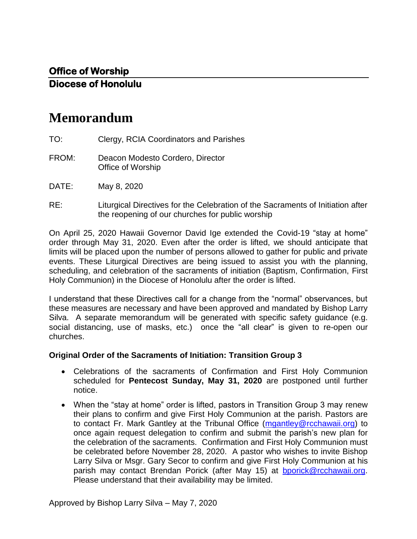# **Memorandum**

- TO: Clergy, RCIA Coordinators and Parishes
- FROM: Deacon Modesto Cordero, Director Office of Worship
- DATE: May 8, 2020
- RE: Liturgical Directives for the Celebration of the Sacraments of Initiation after the reopening of our churches for public worship

On April 25, 2020 Hawaii Governor David Ige extended the Covid-19 "stay at home" order through May 31, 2020. Even after the order is lifted, we should anticipate that limits will be placed upon the number of persons allowed to gather for public and private events. These Liturgical Directives are being issued to assist you with the planning, scheduling, and celebration of the sacraments of initiation (Baptism, Confirmation, First Holy Communion) in the Diocese of Honolulu after the order is lifted.

I understand that these Directives call for a change from the "normal" observances, but these measures are necessary and have been approved and mandated by Bishop Larry Silva. A separate memorandum will be generated with specific safety guidance (e.g. social distancing, use of masks, etc.) once the "all clear" is given to re-open our churches.

#### **Original Order of the Sacraments of Initiation: Transition Group 3**

- Celebrations of the sacraments of Confirmation and First Holy Communion scheduled for **Pentecost Sunday, May 31, 2020** are postponed until further notice.
- When the "stay at home" order is lifted, pastors in Transition Group 3 may renew their plans to confirm and give First Holy Communion at the parish. Pastors are to contact Fr. Mark Gantley at the Tribunal Office [\(mgantley@rcchawaii.org\)](mailto:mgantley@rcchawaii.org) to once again request delegation to confirm and submit the parish's new plan for the celebration of the sacraments. Confirmation and First Holy Communion must be celebrated before November 28, 2020. A pastor who wishes to invite Bishop Larry Silva or Msgr. Gary Secor to confirm and give First Holy Communion at his parish may contact Brendan Porick (after May 15) at **bporick@rcchawaii.org**. Please understand that their availability may be limited.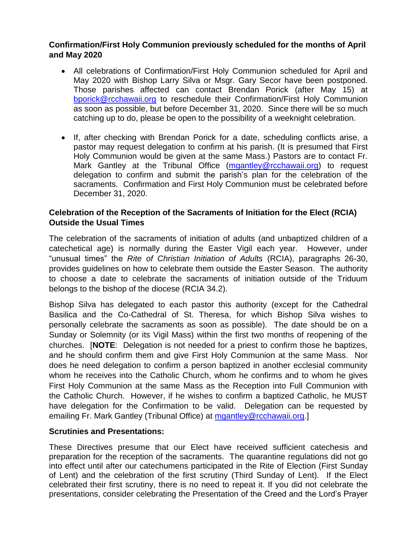## **Confirmation/First Holy Communion previously scheduled for the months of April and May 2020**

- All celebrations of Confirmation/First Holy Communion scheduled for April and May 2020 with Bishop Larry Silva or Msgr. Gary Secor have been postponed. Those parishes affected can contact Brendan Porick (after May 15) at [bporick@rcchawaii.org](mailto:bporick@rcchawaii.org) to reschedule their Confirmation/First Holy Communion as soon as possible, but before December 31, 2020. Since there will be so much catching up to do, please be open to the possibility of a weeknight celebration.
- If, after checking with Brendan Porick for a date, scheduling conflicts arise, a pastor may request delegation to confirm at his parish. (It is presumed that First Holy Communion would be given at the same Mass.) Pastors are to contact Fr. Mark Gantley at the Tribunal Office [\(mgantley@rcchawaii.org\)](mailto:mgantley@rcchawaii.org) to request delegation to confirm and submit the parish's plan for the celebration of the sacraments. Confirmation and First Holy Communion must be celebrated before December 31, 2020.

## **Celebration of the Reception of the Sacraments of Initiation for the Elect (RCIA) Outside the Usual Times**

The celebration of the sacraments of initiation of adults (and unbaptized children of a catechetical age) is normally during the Easter Vigil each year. However, under "unusual times" the *Rite of Christian Initiation of Adults* (RCIA), paragraphs 26-30, provides guidelines on how to celebrate them outside the Easter Season. The authority to choose a date to celebrate the sacraments of initiation outside of the Triduum belongs to the bishop of the diocese (RCIA 34.2).

Bishop Silva has delegated to each pastor this authority (except for the Cathedral Basilica and the Co-Cathedral of St. Theresa, for which Bishop Silva wishes to personally celebrate the sacraments as soon as possible). The date should be on a Sunday or Solemnity (or its Vigil Mass) within the first two months of reopening of the churches. [**NOTE**: Delegation is not needed for a priest to confirm those he baptizes, and he should confirm them and give First Holy Communion at the same Mass. Nor does he need delegation to confirm a person baptized in another ecclesial community whom he receives into the Catholic Church, whom he confirms and to whom he gives First Holy Communion at the same Mass as the Reception into Full Communion with the Catholic Church. However, if he wishes to confirm a baptized Catholic, he MUST have delegation for the Confirmation to be valid. Delegation can be requested by emailing Fr. Mark Gantley (Tribunal Office) at [mgantley@rcchawaii.org.](mailto:mgantley@rcchawaii.org)]

## **Scrutinies and Presentations:**

These Directives presume that our Elect have received sufficient catechesis and preparation for the reception of the sacraments. The quarantine regulations did not go into effect until after our catechumens participated in the Rite of Election (First Sunday of Lent) and the celebration of the first scrutiny (Third Sunday of Lent). If the Elect celebrated their first scrutiny, there is no need to repeat it. If you did not celebrate the presentations, consider celebrating the Presentation of the Creed and the Lord's Prayer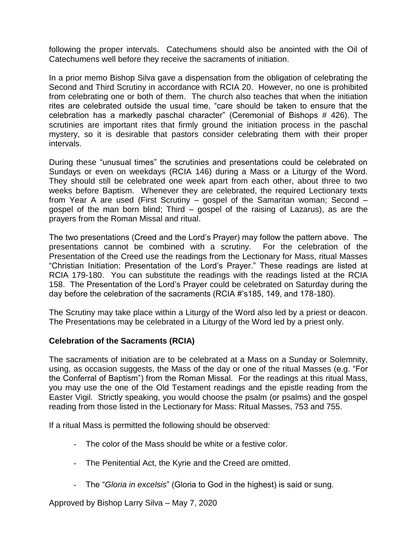following the proper intervals. Catechumens should also be anointed with the Oil of Catechumens well before they receive the sacraments of initiation.

In a prior memo Bishop Silva gave a dispensation from the obligation of celebrating the Second and Third Scrutiny in accordance with RCIA 20. However, no one is prohibited from celebrating one or both of them. The church also teaches that when the initiation rites are celebrated outside the usual time, "care should be taken to ensure that the celebration has a markedly paschal character" (Ceremonial of Bishops # 426). The scrutinies are important rites that firmly ground the initiation process in the paschal mystery, so it is desirable that pastors consider celebrating them with their proper intervals.

During these "unusual times" the scrutinies and presentations could be celebrated on Sundays or even on weekdays (RCIA 146) during a Mass or a Liturgy of the Word. They should still be celebrated one week apart from each other, about three to two weeks before Baptism. Whenever they are celebrated, the required Lectionary texts from Year A are used (First Scrutiny – gospel of the Samaritan woman; Second – gospel of the man born blind; Third – gospel of the raising of Lazarus), as are the prayers from the Roman Missal and ritual.

The two presentations (Creed and the Lord's Prayer) may follow the pattern above. The presentations cannot be combined with a scrutiny. For the celebration of the Presentation of the Creed use the readings from the Lectionary for Mass, ritual Masses "Christian Initiation: Presentation of the Lord's Prayer." These readings are listed at RCIA 179-180. You can substitute the readings with the readings listed at the RCIA 158. The Presentation of the Lord's Prayer could be celebrated on Saturday during the day before the celebration of the sacraments (RCIA #'s185, 149, and 178-180).

The Scrutiny may take place within a Liturgy of the Word also led by a priest or deacon. The Presentations may be celebrated in a Liturgy of the Word led by a priest only.

## **Celebration of the Sacraments (RCIA)**

The sacraments of initiation are to be celebrated at a Mass on a Sunday or Solemnity, using, as occasion suggests, the Mass of the day or one of the ritual Masses (e.g. "For the Conferral of Baptism") from the Roman Missal. For the readings at this ritual Mass, you may use the one of the Old Testament readings and the epistle reading from the Easter Vigil. Strictly speaking, you would choose the psalm (or psalms) and the gospel reading from those listed in the Lectionary for Mass: Ritual Masses, 753 and 755.

If a ritual Mass is permitted the following should be observed:

- The color of the Mass should be white or a festive color.
- The Penitential Act, the Kyrie and the Creed are omitted.
- The "*Gloria in excelsis*" (Gloria to God in the highest) is said or sung.

Approved by Bishop Larry Silva – May 7, 2020